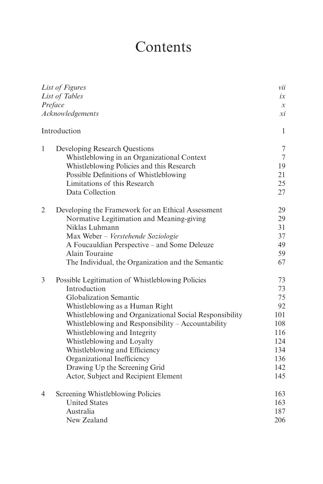## Contents

| List of Figures<br>List of Tables<br>Preface |                                                         | vii                 |
|----------------------------------------------|---------------------------------------------------------|---------------------|
|                                              |                                                         | ix                  |
|                                              |                                                         | $\boldsymbol{\chi}$ |
|                                              | Acknowledgements                                        | хi                  |
| Introduction                                 |                                                         | $\mathbf{1}$        |
| 1                                            | Developing Research Questions                           | $\tau$              |
|                                              | Whistleblowing in an Organizational Context             | $\overline{7}$      |
|                                              | Whistleblowing Policies and this Research               | 19                  |
|                                              | Possible Definitions of Whistleblowing                  | 21                  |
|                                              | Limitations of this Research                            | 25                  |
|                                              | Data Collection                                         | 27                  |
| $\overline{2}$                               | Developing the Framework for an Ethical Assessment      | 29                  |
|                                              | Normative Legitimation and Meaning-giving               | 29                  |
|                                              | Niklas Luhmann                                          | 31                  |
|                                              | Max Weber - Verstehende Soziologie                      | 37                  |
|                                              | A Foucauldian Perspective – and Some Deleuze            | 49                  |
|                                              | Alain Touraine                                          | 59                  |
|                                              | The Individual, the Organization and the Semantic       | 67                  |
| 3                                            | Possible Legitimation of Whistleblowing Policies        | 73                  |
|                                              | Introduction                                            | 73                  |
|                                              | Globalization Semantic                                  | 75                  |
|                                              | Whistleblowing as a Human Right                         | 92                  |
|                                              | Whistleblowing and Organizational Social Responsibility | 101                 |
|                                              | Whistleblowing and Responsibility - Accountability      | 108                 |
|                                              | Whistleblowing and Integrity                            | 116                 |
|                                              | Whistleblowing and Loyalty                              | 124                 |
|                                              | Whistleblowing and Efficiency                           | 134                 |
|                                              | Organizational Inefficiency                             | 136                 |
|                                              | Drawing Up the Screening Grid                           | 142                 |
|                                              | Actor, Subject and Recipient Element                    | 145                 |
| 4                                            | Screening Whistleblowing Policies                       | 163                 |
|                                              | <b>United States</b>                                    | 163                 |
|                                              | Australia                                               | 187                 |
|                                              | New Zealand                                             | 206                 |